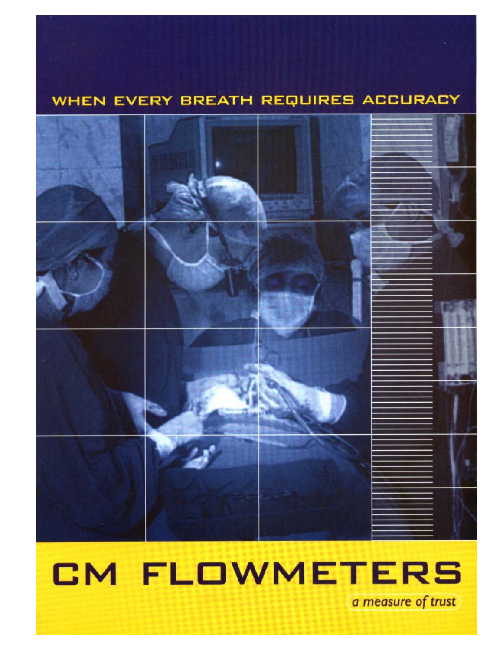### WHEN EVERY BREATH REQUIRES ACCURACY



# **CM FLOWMETERS** a measure of trust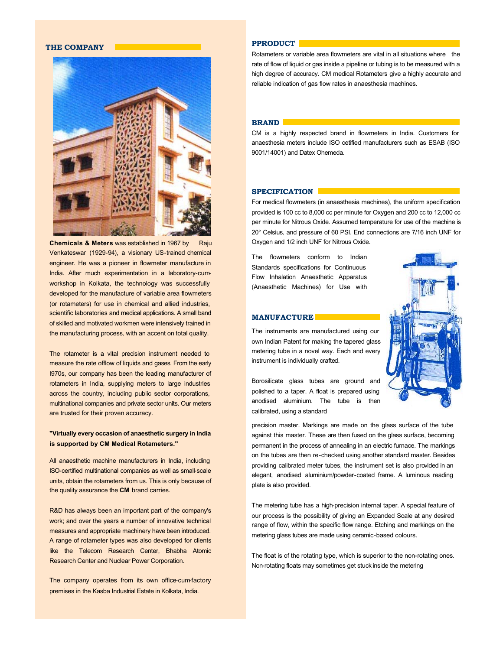#### **THE COMPANY**



**Chemicals & Meters** was established in 1967 by Raju Venkateswar (1929-94), a visionary US-trained chemical engineer. He was a pioneer in flowmeter manufacture in India. After much experimentation in a laboratory-cumworkshop in Kolkata, the technology was successfully developed for the manufacture of variable area flowmeters (or rotameters) for use in chemical and allied industries, scientific laboratories and medical applications. A small band of skilled and motivated workmen were intensively trained in the manufacturing process, with an accent on total quality.

The rotameter is a vital precision instrument needed to measure the rate offlow of liquids and gases. From the early I970s, our company has been the leading manufacturer of rotameters in India, supplying meters to large industries across the country, including public sector corporations, multinational companies and private sector units. Our meters are trusted for their proven accuracy.

#### **"Virtually every occasion of anaesthetic surgery in India is supported by CM Medical Rotameters."**

All anaesthetic machine manufacturers in India, including ISO-certified multinational companies as well as small-scale units, obtain the rotameters from us. This is only because of the quality assurance the **CM** brand carries.

R&D has always been an important part of the company's work; and over the years a number of innovative technical measures and appropriate machinery have been introduced. A range of rotameter types was also developed for clients like the Telecom Research Center, Bhabha Atomic Research Center and Nuclear Power Corporation.

The company operates from its own office-cum-factory premises in the Kasba Industrial Estate in Kolkata, India*.*

#### **PPRODUCT**

Rotameters or variable area flowmeters are vital in all situations where the rate of flow of liquid or gas inside a pipeline or tubing is to be measured with a high degree of accuracy. CM medical Rotameters give a highly accurate and reliable indication of gas flow rates in anaesthesia machines.

#### **BRAND**

CM is a highly respected brand in flowmeters in India. Customers for anaesthesia meters include ISO cetified manufacturers such as ESAB (ISO 9001/14001) and Datex Ohemeda.

#### **SPECIFICATION**

For medical flowmeters (in anaesthesia machines), the uniform specification provided is 100 cc to 8,000 cc per minute for Oxygen and 200 cc to 12,000 cc per minute for Nitrous Oxide. Assumed temperature for use of the machine is 20° Celsius, and pressure of 60 PSI. End connections are 7/16 inch UNF for Oxygen and 1/2 inch UNF for Nitrous Oxide.

The flowmeters conform to Indian Standards specifications for Continuous Flow Inhalation Anaesthetic Apparatus (Anaesthetic Machines) for Use with



**MANUFACTURE**

The instruments are manufactured using our own Indian Patent for making the tapered glass metering tube in a novel way. Each and every instrument is individually crafted.

Borosilicate glass tubes are ground and polished to a taper. A float is prepared using anodised aluminium. The tube is then calibrated, using a standard

precision master. Markings are made on the glass surface of the tube against this master. These are then fused on the glass surface, becoming permanent in the process of annealing in an electric furnace. The markings on the tubes are then re-checked using another standard master. Besides providing calibrated meter tubes, the instrument set is also provided in an elegant, anodised aluminium/powder-coated frame. A luminous reading plate is also provided.

The metering tube has a high-precision internal taper. A special feature of our process is the possibility of giving an Expanded Scale at any desired range of flow, within the specific flow range. Etching and markings on the metering glass tubes are made using ceramic-based colours.

The float is of the rotating type, which is superior to the non-rotating ones. Non-rotating floats may sometimes get stuck inside the metering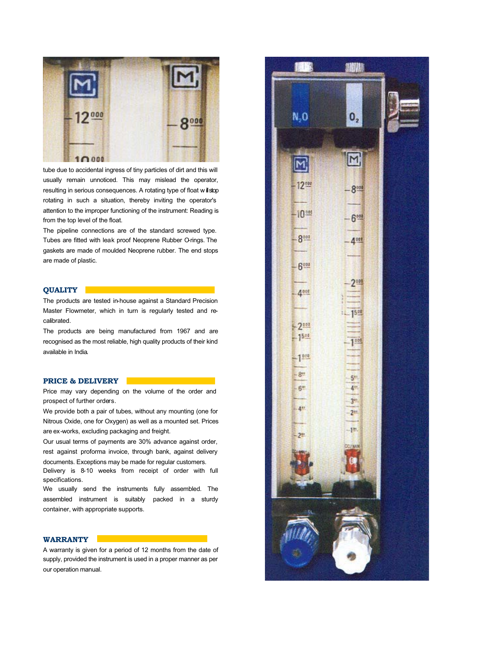

tube due to accidental ingress of tiny particles of dirt and this will usually remain unnoticed. This may mislead the operator, resulting in serious consequences. A rotating type of float will stop rotating in such a situation, thereby inviting the operator's attention to the improper functioning of the instrument: Reading is from the top level of the float.

The pipeline connections are of the standard screwed type. Tubes are fitted with leak proof Neoprene Rubber O-rings. The gaskets are made of moulded Neoprene rubber. The end stops are made of plastic.

#### **QUALITY**

The products are tested in-house against a Standard Precision Master Flowmeter, which in turn is regularly tested and recalibrated.

The products are being manufactured from 1967 and are recognised as the most reliable, high quality products of their kind available in India.

#### **PRICE & DELIVERY**

Price may vary depending on the volume of the order and prospect of further orders.

We provide both a pair of tubes, without any mounting (one for Nitrous Oxide, one for Oxygen) as well as a mounted set. Prices are ex-works, excluding packaging and freight.

Our usual terms of payments are 30% advance against order, rest against proforma invoice, through bank, against delivery documents. Exceptions may be made for regular customers.

Delivery is 8-10 weeks from receipt of order with full specifications.

We usually send the instruments fully assembled. The assembled instrument is suitably packed in a sturdy container, with appropriate supports.

#### **WARRANTY**

A warranty is given for a period of 12 months from the date of supply, provided the instrument is used in a proper manner as per our operation manual.